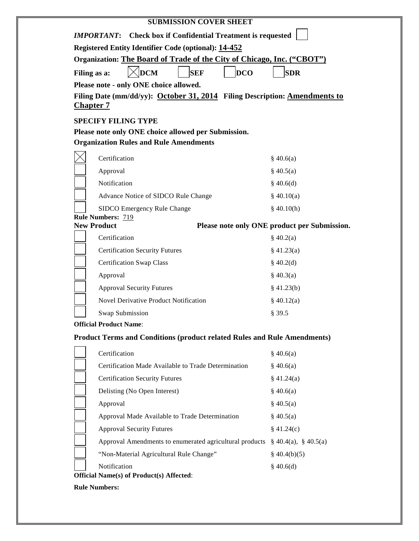| <b>SUBMISSION COVER SHEET</b>                                                                        |                                              |
|------------------------------------------------------------------------------------------------------|----------------------------------------------|
| <b>IMPORTANT:</b> Check box if Confidential Treatment is requested                                   |                                              |
| <b>Registered Entity Identifier Code (optional): 14-452</b>                                          |                                              |
| Organization: The Board of Trade of the City of Chicago, Inc. ("CBOT")                               |                                              |
| <b>DCM</b><br><b>DCO</b><br><b>SEF</b><br>Filing as a:                                               | <b>SDR</b>                                   |
| Please note - only ONE choice allowed.                                                               |                                              |
| Filing Date (mm/dd/yy): October 31, 2014 Filing Description: Amendments to                           |                                              |
| <b>Chapter 7</b>                                                                                     |                                              |
| <b>SPECIFY FILING TYPE</b>                                                                           |                                              |
| Please note only ONE choice allowed per Submission.<br><b>Organization Rules and Rule Amendments</b> |                                              |
|                                                                                                      |                                              |
| Certification                                                                                        | \$40.6(a)                                    |
| Approval                                                                                             | \$40.5(a)                                    |
| Notification                                                                                         | \$40.6(d)                                    |
| Advance Notice of SIDCO Rule Change                                                                  | \$40.10(a)                                   |
| SIDCO Emergency Rule Change<br><b>Rule Numbers: 719</b>                                              | \$40.10(h)                                   |
| <b>New Product</b>                                                                                   | Please note only ONE product per Submission. |
| Certification                                                                                        | \$40.2(a)                                    |
| <b>Certification Security Futures</b>                                                                | $§$ 41.23(a)                                 |
| <b>Certification Swap Class</b>                                                                      | \$40.2(d)                                    |
| Approval                                                                                             | \$40.3(a)                                    |
| <b>Approval Security Futures</b>                                                                     | \$41.23(b)                                   |
| <b>Novel Derivative Product Notification</b>                                                         | \$40.12(a)                                   |
| Swap Submission                                                                                      | § 39.5                                       |
| <b>Official Product Name:</b>                                                                        |                                              |
| <b>Product Terms and Conditions (product related Rules and Rule Amendments)</b>                      |                                              |
| Certification                                                                                        | \$40.6(a)                                    |
| Certification Made Available to Trade Determination                                                  | \$40.6(a)                                    |
| <b>Certification Security Futures</b>                                                                | \$41.24(a)                                   |
| Delisting (No Open Interest)                                                                         | \$40.6(a)                                    |
| Approval                                                                                             | \$40.5(a)                                    |
| Approval Made Available to Trade Determination                                                       | \$40.5(a)                                    |
| <b>Approval Security Futures</b>                                                                     | \$41.24(c)                                   |
| Approval Amendments to enumerated agricultural products                                              | $\S$ 40.4(a), $\S$ 40.5(a)                   |
|                                                                                                      |                                              |
| "Non-Material Agricultural Rule Change"                                                              | $\S$ 40.4(b)(5)                              |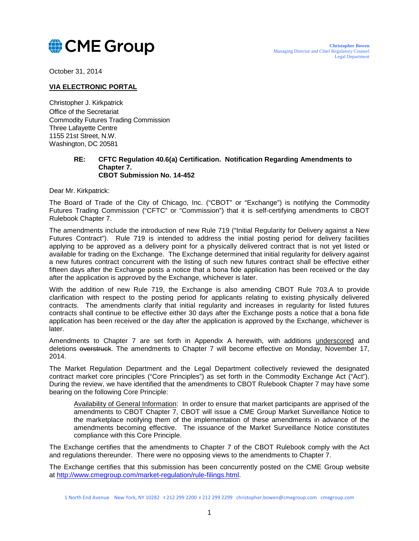

October 31, 2014

# **VIA ELECTRONIC PORTAL**

Christopher J. Kirkpatrick Office of the Secretariat Commodity Futures Trading Commission Three Lafayette Centre 1155 21st Street, N.W. Washington, DC 20581

#### **RE: CFTC Regulation 40.6(a) Certification. Notification Regarding Amendments to Chapter 7. CBOT Submission No. 14-452**

Dear Mr. Kirkpatrick:

The Board of Trade of the City of Chicago, Inc. ("CBOT" or "Exchange") is notifying the Commodity Futures Trading Commission ("CFTC" or "Commission") that it is self-certifying amendments to CBOT Rulebook Chapter 7.

The amendments include the introduction of new Rule 719 ("Initial Regularity for Delivery against a New Futures Contract"). Rule 719 is intended to address the initial posting period for delivery facilities applying to be approved as a delivery point for a physically delivered contract that is not yet listed or available for trading on the Exchange. The Exchange determined that initial regularity for delivery against a new futures contract concurrent with the listing of such new futures contract shall be effective either fifteen days after the Exchange posts a notice that a bona fide application has been received or the day after the application is approved by the Exchange, whichever is later.

With the addition of new Rule 719, the Exchange is also amending CBOT Rule 703.A to provide clarification with respect to the posting period for applicants relating to existing physically delivered contracts. The amendments clarify that initial regularity and increases in regularity for listed futures contracts shall continue to be effective either 30 days after the Exchange posts a notice that a bona fide application has been received or the day after the application is approved by the Exchange, whichever is later.

Amendments to Chapter 7 are set forth in Appendix A herewith, with additions underscored and deletions overstruck. The amendments to Chapter 7 will become effective on Monday, November 17, 2014.

The Market Regulation Department and the Legal Department collectively reviewed the designated contract market core principles ("Core Principles") as set forth in the Commodity Exchange Act ("Act"). During the review, we have identified that the amendments to CBOT Rulebook Chapter 7 may have some bearing on the following Core Principle:

Availability of General Information: In order to ensure that market participants are apprised of the amendments to CBOT Chapter 7, CBOT will issue a CME Group Market Surveillance Notice to the marketplace notifying them of the implementation of these amendments in advance of the amendments becoming effective. The issuance of the Market Surveillance Notice constitutes compliance with this Core Principle.

The Exchange certifies that the amendments to Chapter 7 of the CBOT Rulebook comply with the Act and regulations thereunder. There were no opposing views to the amendments to Chapter 7.

The Exchange certifies that this submission has been concurrently posted on the CME Group website at [http://www.cmegroup.com/market-regulation/rule-filings.html.](http://www.cmegroup.com/market-regulation/rule-filings.html)

<sup>1</sup> North End Avenue New York, NY 10282 **T** 212 299 2200 **F** 212 299 2299 christopher.bowen@cmegroup.com cmegroup.com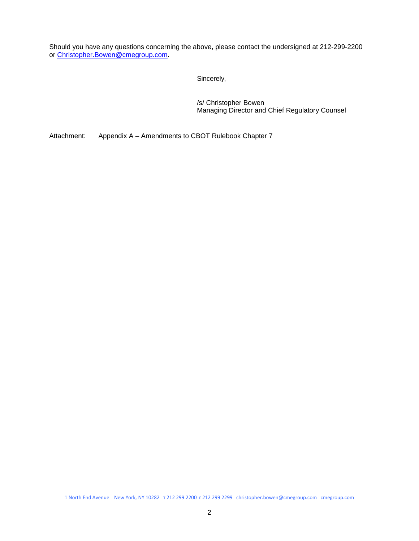Should you have any questions concerning the above, please contact the undersigned at 212-299-2200 or [Christopher.Bowen@cmegroup.com.](mailto:Christopher.Bowen@cmegroup.com)

Sincerely,

/s/ Christopher Bowen Managing Director and Chief Regulatory Counsel

Attachment: Appendix A – Amendments to CBOT Rulebook Chapter 7

1 North End Avenue New York, NY 10282 **T** 212 299 2200 **F** 212 299 2299 christopher.bowen@cmegroup.com cmegroup.com